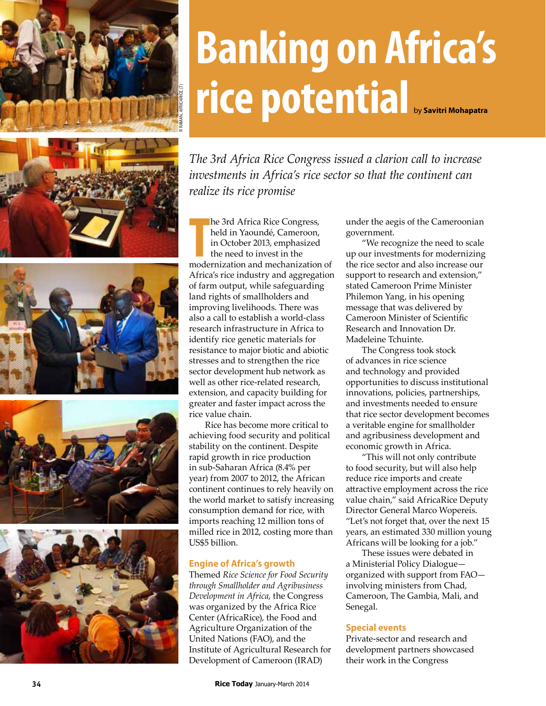

# by **Savitri Mohapatra Banking on Africa's rice potential**

*The 3rd Africa Rice Congress issued a clarion call to increase investments in Africa's rice sector so that the continent can realize its rice promise*

**The 3rd Africa Rice Congress,**<br> **The modernization and mechanization of**<br> **The modernization and mechanization of** he 3rd Africa Rice Congress, held in Yaoundé, Cameroon, in October 2013, emphasized the need to invest in the Africa's rice industry and aggregation of farm output, while safeguarding land rights of smallholders and improving livelihoods. There was also a call to establish a world-class research infrastructure in Africa to identify rice genetic materials for resistance to major biotic and abiotic stresses and to strengthen the rice sector development hub network as well as other rice-related research, extension, and capacity building for greater and faster impact across the rice value chain.

Rice has become more critical to achieving food security and political stability on the continent. Despite rapid growth in rice production in sub-Saharan Africa (8.4% per year) from 2007 to 2012, the African continent continues to rely heavily on the world market to satisfy increasing consumption demand for rice, with imports reaching 12 million tons of milled rice in 2012, costing more than US\$5 billion.

## **Engine of Africa's growth**

Themed *Rice Science for Food Security through Smallholder and Agribusiness Development in Africa*, the Congress was organized by the Africa Rice Center (AfricaRice), the Food and Agriculture Organization of the United Nations (FAO), and the Institute of Agricultural Research for Development of Cameroon (IRAD)

under the aegis of the Cameroonian government.

"We recognize the need to scale up our investments for modernizing the rice sector and also increase our support to research and extension," stated Cameroon Prime Minister Philemon Yang, in his opening message that was delivered by Cameroon Minister of Scientific Research and Innovation Dr. Madeleine Tchuinte.

The Congress took stock of advances in rice science and technology and provided opportunities to discuss institutional innovations, policies, partnerships, and investments needed to ensure that rice sector development becomes a veritable engine for smallholder and agribusiness development and economic growth in Africa.

"This will not only contribute to food security, but will also help reduce rice imports and create attractive employment across the rice value chain," said AfricaRice Deputy Director General Marco Wopereis. "Let's not forget that, over the next 15 years, an estimated 330 million young Africans will be looking for a job."

These issues were debated in a Ministerial Policy Dialogue organized with support from FAO involving ministers from Chad, Cameroon, The Gambia, Mali, and Senegal.

## **Special events**

Private-sector and research and development partners showcased their work in the Congress